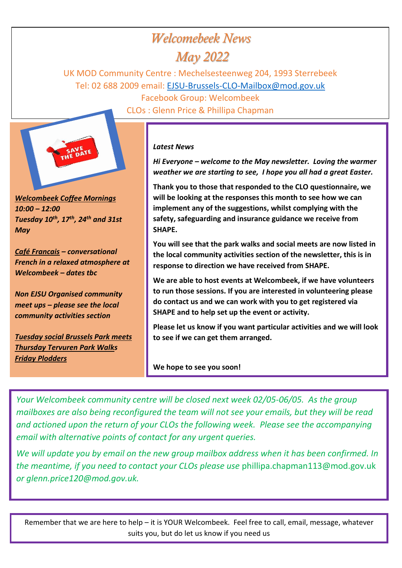# *Welcomebeek News*

## *May 2022*

UK MOD Community Centre : Mechelsesteenweg 204, 1993 Sterrebeek Tel: 02 688 2009 email: [EJSU-Brussels-CLO-Mailbox@mod.gov.uk](mailto:EJSU-Brussels-CLO-Mailbox@mod.gov.uk)

> Facebook Group: Welcombeek CLOs : Glenn Price & Phillipa Chapman



*Welcombeek Coffee Mornings 10:00 – 12:00 Tuesday 10th, 17th, 24th and 31st May*

*Café Francais – conversational French in a relaxed atmosphere at Welcombeek – dates tbc*

*Non EJSU Organised community meet ups – please see the local community activities section*

*Tuesday social Brussels Park meets Thursday Tervuren Park Walks Friday Plodders*

#### *Latest News*

*Hi Everyone – welcome to the May newsletter. Loving the warmer weather we are starting to see, I hope you all had a great Easter.* 

**Thank you to those that responded to the CLO questionnaire, we will be looking at the responses this month to see how we can implement any of the suggestions, whilst complying with the safety, safeguarding and insurance guidance we receive from SHAPE.** 

**You will see that the park walks and social meets are now listed in the local community activities section of the newsletter, this is in response to direction we have received from SHAPE.**

**We are able to host events at Welcombeek, if we have volunteers to run those sessions. If you are interested in volunteering please do contact us and we can work with you to get registered via SHAPE and to help set up the event or activity.**

**Please let us know if you want particular activities and we will look to see if we can get them arranged.** 

**We hope to see you soon!**

*Your Welcombeek community centre will be closed next week 02/05-06/05. As the group mailboxes are also being reconfigured the team will not see your emails, but they will be read and actioned upon the return of your CLOs the following week. Please see the accompanying email with alternative points of contact for any urgent queries.*

*We will update you by email on the new group mailbox address when it has been confirmed. In the meantime, if you need to contact your CLOs please use* [phillipa.chapman113@mod.gov.uk](mailto:phillipa.chapman113@mod.gov.uk) *or glenn.price120@mod.gov.uk.*

Remember that we are here to help – it is YOUR Welcombeek. Feel free to call, email, message, whatever suits you, but do let us know if you need us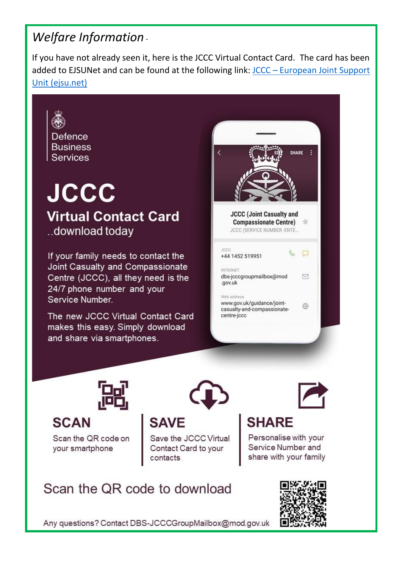# *Welfare Information -*

If you have not already seen it, here is the JCCC Virtual Contact Card. The card has been added to EJSUNet and can be found at the following link: JCCC – [European Joint Support](https://gbr01.safelinks.protection.outlook.com/?url=https%3A%2F%2Fwww.ejsu.net%2Fjccc%2F&data=05%7C01%7CPhillipa.Chapman113%40mod.gov.uk%7C2a5eb737e20f433cccb908da26dca305%7Cbe7760ed5953484bae95d0a16dfa09e5%7C0%7C0%7C637865026305592234%7CUnknown%7CTWFpbGZsb3d8eyJWIjoiMC4wLjAwMDAiLCJQIjoiV2luMzIiLCJBTiI6Ik1haWwiLCJXVCI6Mn0%3D%7C3000%7C%7C%7C&sdata=KUhCWOSWhYBLf4Dig8Qq27VIEj0vewBZdmMgF21t0qE%3D&reserved=0)  [Unit \(ejsu.net\)](https://gbr01.safelinks.protection.outlook.com/?url=https%3A%2F%2Fwww.ejsu.net%2Fjccc%2F&data=05%7C01%7CPhillipa.Chapman113%40mod.gov.uk%7C2a5eb737e20f433cccb908da26dca305%7Cbe7760ed5953484bae95d0a16dfa09e5%7C0%7C0%7C637865026305592234%7CUnknown%7CTWFpbGZsb3d8eyJWIjoiMC4wLjAwMDAiLCJQIjoiV2luMzIiLCJBTiI6Ik1haWwiLCJXVCI6Mn0%3D%7C3000%7C%7C%7C&sdata=KUhCWOSWhYBLf4Dig8Qq27VIEj0vewBZdmMgF21t0qE%3D&reserved=0)

Defence **Business Services** 

# **JCCC Virtual Contact Card** ..download today

If your family needs to contact the Joint Casualty and Compassionate Centre (JCCC), all they need is the 24/7 phone number and your Service Number.

The new JCCC Virtual Contact Card makes this easy. Simply download and share via smartphones.





**SCAN** 

Scan the QR code on your smartphone



Save the JCCC Virtual

Contact Card to your

# **SHARE**

Personalise with your Service Number and share with your family

# Scan the QR code to download



Any questions? Contact DBS-JCCCGroupMailbox@mod.gov.uk

contacts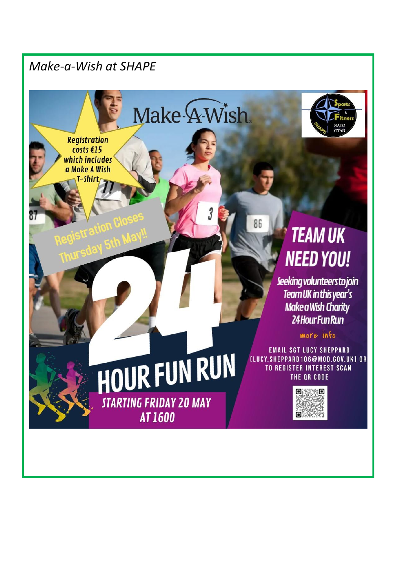### *Make-a-Wish at SHAPE*

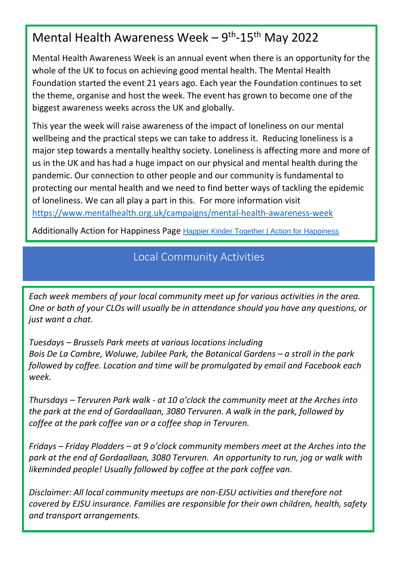# Mental Health Awareness Week - 9<sup>th</sup>-15<sup>th</sup> May 2022

Mental Health Awareness Week is an annual event when there is an opportunity for the whole of the UK to focus on achieving good mental health. The Mental Health Foundation started the event 21 years ago. Each year the Foundation continues to set the theme, organise and host the week. The event has grown to become one of the biggest awareness weeks across the UK and globally.

This year the week will raise awareness of the impact of loneliness on our mental wellbeing and the practical steps we can take to address it. Reducing loneliness is a major step towards a mentally healthy society. Loneliness is affecting more and more of us in the UK and has had a huge impact on our physical and mental health during the pandemic. Our connection to other people and our community is fundamental to protecting our mental health and we need to find better ways of tackling the epidemic of loneliness. We can all play a part in this. For more information visit <https://www.mentalhealth.org.uk/campaigns/mental-health-awareness-week>

Additionally Action for Happiness Page [Happier Kinder Together | Action for Happiness](https://gbr01.safelinks.protection.outlook.com/?url=https%3A%2F%2Factionforhappiness.org%2F&data=05%7C01%7CPhillipa.Chapman113%40mod.gov.uk%7Cad7b9c46b2674914478908da27ae22be%7Cbe7760ed5953484bae95d0a16dfa09e5%7C0%7C0%7C637865926259696560%7CUnknown%7CTWFpbGZsb3d8eyJWIjoiMC4wLjAwMDAiLCJQIjoiV2luMzIiLCJBTiI6Ik1haWwiLCJXVCI6Mn0%3D%7C3000%7C%7C%7C&sdata=%2FWqmKkjntNeKrZKEJMPM0HTE0yqpF8gejghUtqMRIVk%3D&reserved=0)

#### Local Community Activities

*Each week members of your local community meet up for various activities in the area. One or both of your CLOs will usually be in attendance should you have any questions, or just want a chat.*  So, in Mech members of your focul community meet up for various activities in the urea. well be the product of product steps we can take the product we can take to address it.

*Tuesdays – Brussels Park meets at various locations including* Bois De La Cambre, Woluwe, Jubilee Park, the Botanical Gardens – a stroll in the park *followed by coffee. Location and time will be promulgated by email and Facebook each week.*

*Thursdays – Tervuren Park walk - at 10 o'clock the community meet at the Arches into the park at the end of Gordaallaan, 3080 Tervuren. A walk in the park, followed by coffee at the park coffee van or a coffee shop in Tervuren.* 

*Fridays – Friday Plodders – at 9 o'clock community members meet at the Arches into the park at the end of Gordaallaan, 3080 Tervuren. An opportunity to run, jog or walk with likeminded people! Usually followed by coffee at the park coffee van.* 

*Disclaimer: All local community meetups are non-EJSU activities and therefore not covered by EJSU insurance. Families are responsible for their own children, health, safety and transport arrangements.*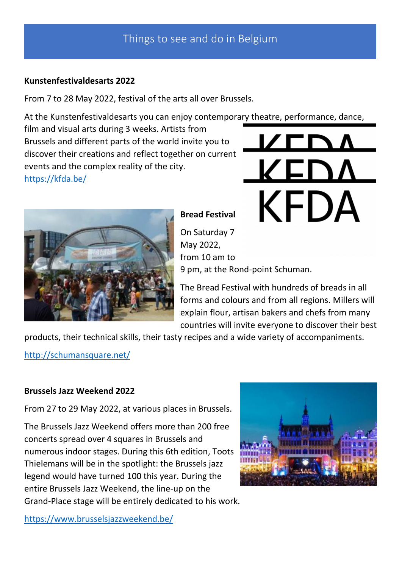#### **Kunstenfestivaldesarts 2022**

From 7 to 28 May 2022, festival of the arts all over Brussels.

At the Kunstenfestivaldesarts you can enjoy contemporary theatre, performance, dance,

film and visual arts during 3 weeks. Artists from Brussels and different parts of the world invite you to discover their creations and reflect together on current events and the complex reality of the city. <https://kfda.be/>

# **KFDA**



**Bread Festival**

On Saturday 7 May 2022, from 10 am to 9 pm, at the Rond-point Schuman.

The Bread Festival with hundreds of breads in all forms and colours and from all regions. Millers will explain flour, artisan bakers and chefs from many countries will invite everyone to discover their best

products, their technical skills, their tasty recipes and a wide variety of accompaniments.

<http://schumansquare.net/>

#### **Brussels Jazz Weekend 2022**

From 27 to 29 May 2022, at various places in Brussels.

The Brussels Jazz Weekend offers more than 200 free concerts spread over 4 squares in Brussels and numerous indoor stages. During this 6th edition, Toots Thielemans will be in the spotlight: the Brussels jazz legend would have turned 100 this year. During the entire Brussels Jazz Weekend, the line-up on the Grand-Place stage will be entirely dedicated to his work.



<https://www.brusselsjazzweekend.be/>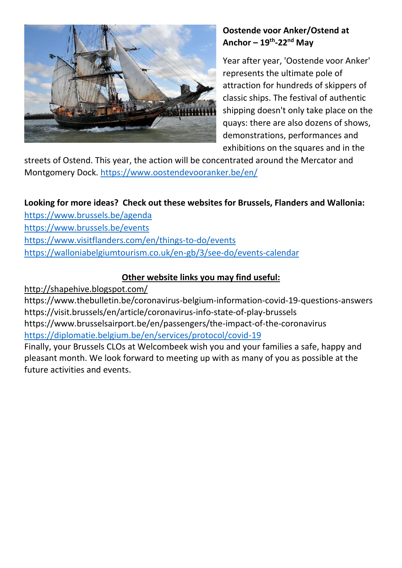

#### **Oostende voor Anker/Ostend at Anchor – 19th -22nd May**

Year after year, 'Oostende voor Anker' represents the ultimate pole of attraction for hundreds of skippers of classic ships. The festival of authentic shipping doesn't only take place on the quays: there are also dozens of shows, demonstrations, performances and exhibitions on the squares and in the

streets of Ostend. This year, the action will be concentrated around the Mercator and Montgomery Dock. <https://www.oostendevooranker.be/en/>

#### **Looking for more ideas? Check out these websites for Brussels, Flanders and Wallonia:**

<https://www.brussels.be/agenda>

<https://www.brussels.be/events>

<https://www.visitflanders.com/en/things-to-do/events>

<https://walloniabelgiumtourism.co.uk/en-gb/3/see-do/events-calendar>

#### **Other website links you may find useful:**

http://shapehive.blogspot.com/

https://www.thebulletin.be/coronavirus-belgium-information-covid-19-questions-answers https://visit.brussels/en/article/coronavirus-info-state-of-play-brussels https://www.brusselsairport.be/en/passengers/the-impact-of-the-coronavirus <https://diplomatie.belgium.be/en/services/protocol/covid-19> Finally, your Brussels CLOs at Welcombeek wish you and your families a safe, happy and

pleasant month. We look forward to meeting up with as many of you as possible at the future activities and events.